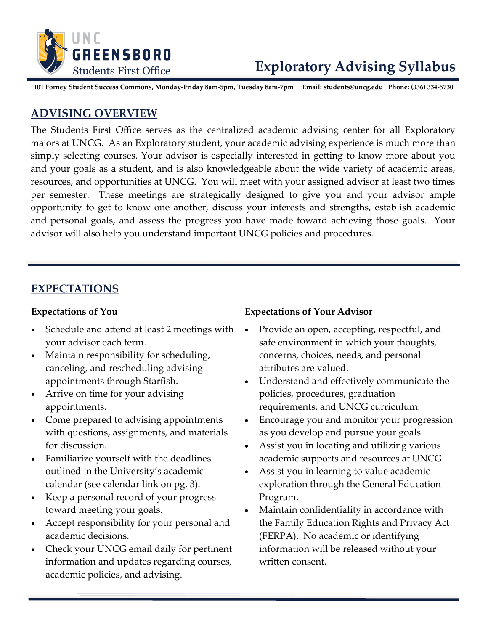

# **Exploratory Advising Syllabus**

**101 Forney Student Success Commons, Monday-Friday 8am-5pm, Tuesday 8am-7pm Email: students@uncg.edu Phone: (336) 334-5730**

#### **ADVISING OVERVIEW**

The Students First Office serves as the centralized academic advising center for all Exploratory majors at UNCG. As an Exploratory student, your academic advising experience is much more than simply selecting courses. Your advisor is especially interested in getting to know more about you and your goals as a student, and is also knowledgeable about the wide variety of academic areas, resources, and opportunities at UNCG. You will meet with your assigned advisor at least two times per semester. These meetings are strategically designed to give you and your advisor ample opportunity to get to know one another, discuss your interests and strengths, establish academic and personal goals, and assess the progress you have made toward achieving those goals. Your advisor will also help you understand important UNCG policies and procedures.

#### **EXPECTATIONS**

| <b>Expectations of You</b>                                                                                                                                                                                                                                                                                                                                                                                                                                                                                                                                                                                                                                                                                                                                                                                                                | <b>Expectations of Your Advisor</b>                                                                                                                                                                                                                                                                                                                                                                                                                                                                                                                                                                                                                                                                                                                                                                                                                |  |
|-------------------------------------------------------------------------------------------------------------------------------------------------------------------------------------------------------------------------------------------------------------------------------------------------------------------------------------------------------------------------------------------------------------------------------------------------------------------------------------------------------------------------------------------------------------------------------------------------------------------------------------------------------------------------------------------------------------------------------------------------------------------------------------------------------------------------------------------|----------------------------------------------------------------------------------------------------------------------------------------------------------------------------------------------------------------------------------------------------------------------------------------------------------------------------------------------------------------------------------------------------------------------------------------------------------------------------------------------------------------------------------------------------------------------------------------------------------------------------------------------------------------------------------------------------------------------------------------------------------------------------------------------------------------------------------------------------|--|
| Schedule and attend at least 2 meetings with<br>$\bullet$<br>your advisor each term.<br>Maintain responsibility for scheduling,<br>canceling, and rescheduling advising<br>appointments through Starfish.<br>Arrive on time for your advising<br>appointments.<br>Come prepared to advising appointments<br>$\bullet$<br>with questions, assignments, and materials<br>for discussion.<br>Familiarize yourself with the deadlines<br>$\bullet$<br>outlined in the University's academic<br>calendar (see calendar link on pg. 3).<br>Keep a personal record of your progress<br>$\bullet$<br>toward meeting your goals.<br>Accept responsibility for your personal and<br>academic decisions.<br>Check your UNCG email daily for pertinent<br>$\bullet$<br>information and updates regarding courses,<br>academic policies, and advising. | Provide an open, accepting, respectful, and<br>$\bullet$<br>safe environment in which your thoughts,<br>concerns, choices, needs, and personal<br>attributes are valued.<br>Understand and effectively communicate the<br>$\bullet$<br>policies, procedures, graduation<br>requirements, and UNCG curriculum.<br>Encourage you and monitor your progression<br>$\bullet$<br>as you develop and pursue your goals.<br>Assist you in locating and utilizing various<br>academic supports and resources at UNCG.<br>Assist you in learning to value academic<br>$\bullet$<br>exploration through the General Education<br>Program.<br>Maintain confidentiality in accordance with<br>$\bullet$<br>the Family Education Rights and Privacy Act<br>(FERPA). No academic or identifying<br>information will be released without your<br>written consent. |  |
|                                                                                                                                                                                                                                                                                                                                                                                                                                                                                                                                                                                                                                                                                                                                                                                                                                           |                                                                                                                                                                                                                                                                                                                                                                                                                                                                                                                                                                                                                                                                                                                                                                                                                                                    |  |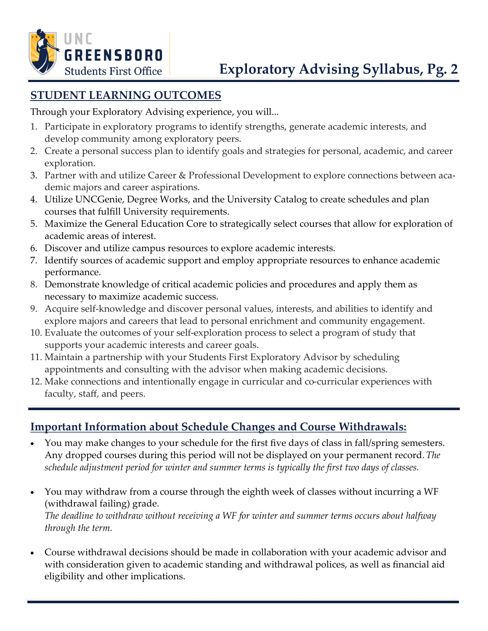

# **STUDENT LEARNING OUTCOMES**

Through your Exploratory Advising experience, you will...

- 1. Participate in exploratory programs to identify strengths, generate academic interests, and develop community among exploratory peers.
- 2. Create a personal success plan to identify goals and strategies for personal, academic, and career exploration.
- 3. Partner with and utilize Career & Professional Development to explore connections between academic majors and career aspirations.
- 4. Utilize UNCGenie, Degree Works, and the University Catalog to create schedules and plan courses that fulfill University requirements.
- 5. Maximize the General Education Core to strategically select courses that allow for exploration of academic areas of interest.
- 6. Discover and utilize campus resources to explore academic interests.
- 7. Identify sources of academic support and employ appropriate resources to enhance academic performance.
- 8. Demonstrate knowledge of critical academic policies and procedures and apply them as necessary to maximize academic success.
- 9. Acquire self-knowledge and discover personal values, interests, and abilities to identify and explore majors and careers that lead to personal enrichment and community engagement.
- 10. Evaluate the outcomes of your self-exploration process to select a program of study that supports your academic interests and career goals.
- 11. Maintain a partnership with your Students First Exploratory Advisor by scheduling appointments and consulting with the advisor when making academic decisions.
- 12. Make connections and intentionally engage in curricular and co-curricular experiences with faculty, staff, and peers.

### **Important Information about Schedule Changes and Course Withdrawals:**

- You may make changes to your schedule for the first five days of class in fall/spring semesters. Any dropped courses during this period will not be displayed on your permanent record.*The schedule adjustment period for winter and summer terms is typically the first two days of classes.*
- You may withdraw from a course through the eighth week of classes without incurring a WF (withdrawal failing) grade. *The deadline to withdraw without receiving a WF for winter and summer terms occurs about halfway through the term.*
- Course withdrawal decisions should be made in collaboration with your academic advisor and with consideration given to academic standing and withdrawal polices, as well as financial aid eligibility and other implications.